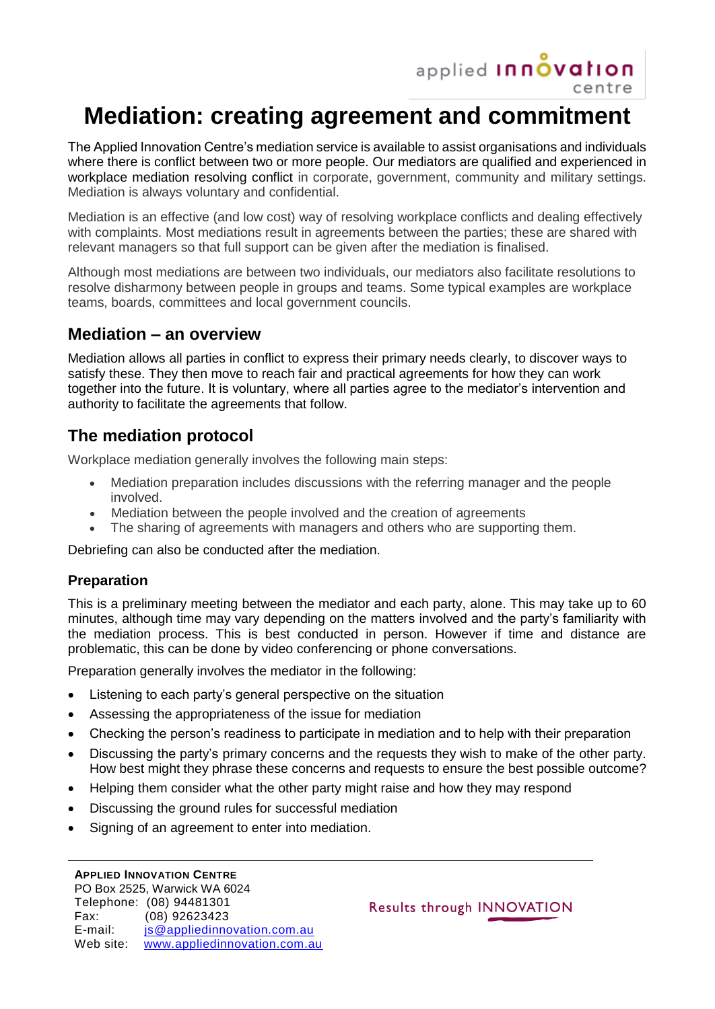

# **Mediation: creating agreement and commitment**

The Applied Innovation Centre's mediation service is available to assist organisations and individuals where there is conflict between two or more people. Our mediators are qualified and experienced in workplace mediation resolving conflict in corporate, government, community and military settings. Mediation is always voluntary and confidential.

Mediation is an effective (and low cost) way of resolving workplace conflicts and dealing effectively with complaints. Most mediations result in agreements between the parties; these are shared with relevant managers so that full support can be given after the mediation is finalised.

Although most mediations are between two individuals, our mediators also facilitate resolutions to resolve disharmony between people in groups and teams. Some typical examples are workplace teams, boards, committees and local government councils.

## **Mediation – an overview**

Mediation allows all parties in conflict to express their primary needs clearly, to discover ways to satisfy these. They then move to reach fair and practical agreements for how they can work together into the future. It is voluntary, where all parties agree to the mediator's intervention and authority to facilitate the agreements that follow.

# **The mediation protocol**

Workplace mediation generally involves the following main steps:

- Mediation preparation includes discussions with the referring manager and the people involved.
- Mediation between the people involved and the creation of agreements
- The sharing of agreements with managers and others who are supporting them.

Debriefing can also be conducted after the mediation.

#### **Preparation**

This is a preliminary meeting between the mediator and each party, alone. This may take up to 60 minutes, although time may vary depending on the matters involved and the party's familiarity with the mediation process. This is best conducted in person. However if time and distance are problematic, this can be done by video conferencing or phone conversations.

Preparation generally involves the mediator in the following:

- Listening to each party's general perspective on the situation
- Assessing the appropriateness of the issue for mediation
- Checking the person's readiness to participate in mediation and to help with their preparation
- Discussing the party's primary concerns and the requests they wish to make of the other party. How best might they phrase these concerns and requests to ensure the best possible outcome?
- Helping them consider what the other party might raise and how they may respond
- Discussing the ground rules for successful mediation
- Signing of an agreement to enter into mediation.

#### **APPLIED INNOVATION CENTRE**

Results through INNOVATION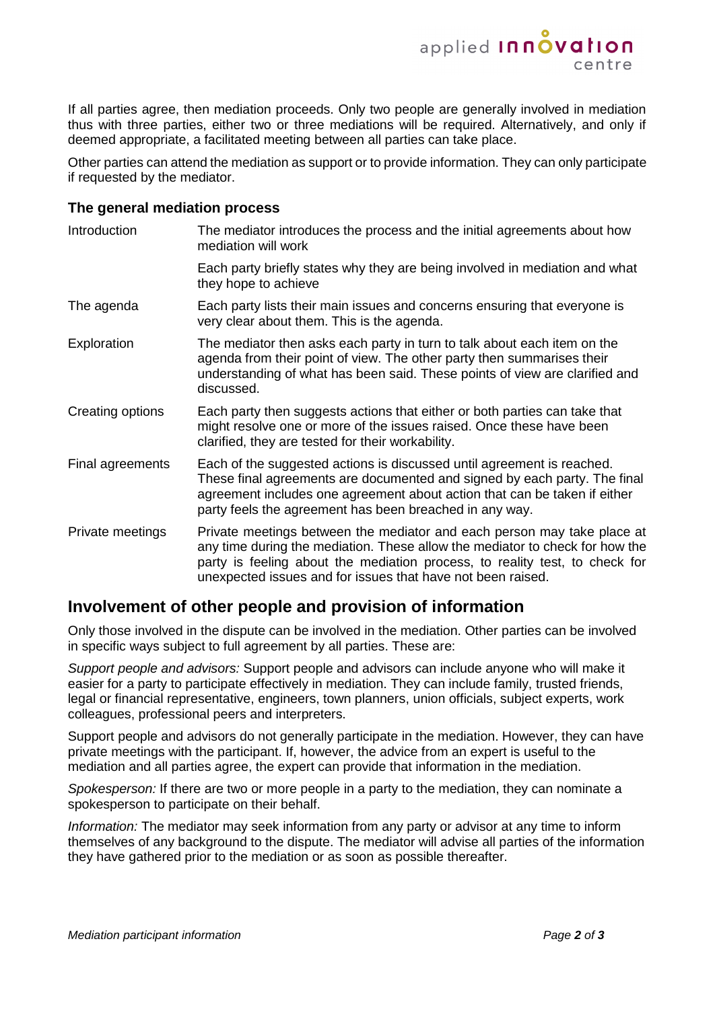

If all parties agree, then mediation proceeds. Only two people are generally involved in mediation thus with three parties, either two or three mediations will be required. Alternatively, and only if deemed appropriate, a facilitated meeting between all parties can take place.

Other parties can attend the mediation as support or to provide information. They can only participate if requested by the mediator.

#### **The general mediation process**

| Introduction     | The mediator introduces the process and the initial agreements about how<br>mediation will work                                                                                                                                                                                                       |
|------------------|-------------------------------------------------------------------------------------------------------------------------------------------------------------------------------------------------------------------------------------------------------------------------------------------------------|
|                  | Each party briefly states why they are being involved in mediation and what<br>they hope to achieve                                                                                                                                                                                                   |
| The agenda       | Each party lists their main issues and concerns ensuring that everyone is<br>very clear about them. This is the agenda.                                                                                                                                                                               |
| Exploration      | The mediator then asks each party in turn to talk about each item on the<br>agenda from their point of view. The other party then summarises their<br>understanding of what has been said. These points of view are clarified and<br>discussed.                                                       |
| Creating options | Each party then suggests actions that either or both parties can take that<br>might resolve one or more of the issues raised. Once these have been<br>clarified, they are tested for their workability.                                                                                               |
| Final agreements | Each of the suggested actions is discussed until agreement is reached.<br>These final agreements are documented and signed by each party. The final<br>agreement includes one agreement about action that can be taken if either<br>party feels the agreement has been breached in any way.           |
| Private meetings | Private meetings between the mediator and each person may take place at<br>any time during the mediation. These allow the mediator to check for how the<br>party is feeling about the mediation process, to reality test, to check for<br>unexpected issues and for issues that have not been raised. |

### **Involvement of other people and provision of information**

Only those involved in the dispute can be involved in the mediation. Other parties can be involved in specific ways subject to full agreement by all parties. These are:

*Support people and advisors:* Support people and advisors can include anyone who will make it easier for a party to participate effectively in mediation. They can include family, trusted friends, legal or financial representative, engineers, town planners, union officials, subject experts, work colleagues, professional peers and interpreters.

Support people and advisors do not generally participate in the mediation. However, they can have private meetings with the participant. If, however, the advice from an expert is useful to the mediation and all parties agree, the expert can provide that information in the mediation.

*Spokesperson:* If there are two or more people in a party to the mediation, they can nominate a spokesperson to participate on their behalf.

*Information:* The mediator may seek information from any party or advisor at any time to inform themselves of any background to the dispute. The mediator will advise all parties of the information they have gathered prior to the mediation or as soon as possible thereafter.